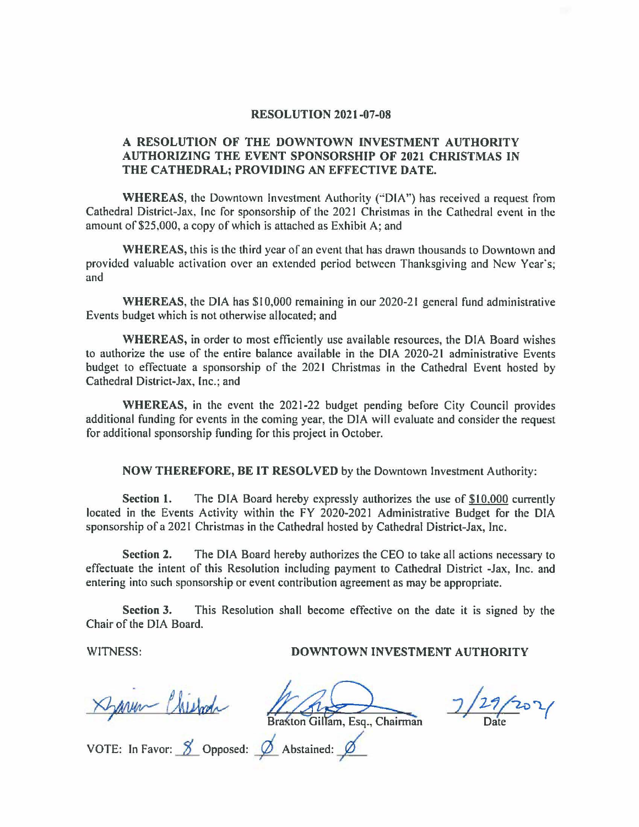#### **RESOLUTION 2021-07-08**

### **A RESOLUTION OF THE DOWNTOWN INVESTMENT AUTHORITY AUTHORIZING THE EVENT SPONSORSHIP OF 2021 CHRISTMAS IN THE CATHEDRAL; PROVIDING AN EFFECTIVE DATE.**

**WHEREAS,** the Downtown Investment Authority (''DIA") has received a request from Cathedral District-Jax, Inc for sponsorship of the 2021 Christmas in the Cathedral event in the amount of \$25,000, a copy of which is attached as Exhibit A; and

**WHEREAS,** this is the third year of an event that has drawn thousands to Downtown and provided valuable activation over an extended period between Thanksgiving and New Year's; and

**WHEREAS,** the DIA has \$10,000 remaining in our 2020-21 general fund administrative Events budget which is not otherwise allocated; and

**WHEREAS,** in order to most efficiently use available resources, the DIA Board wishes to authorize the use of the entire balance available in the DIA 2020-21 administrative Events budget to effectuate a sponsorship of the 2021 Christmas in the Cathedral Event hosted by Cathedral District-Jax, Inc.; and

**WHEREAS,** in the event the 2021-22 budget pending before City Council provides additional funding for events in the coming year, the DIA will evaluate and consider the request for additional sponsorship funding for this project in October.

**NOW THEREFORE, BE IT RESOLVED** by the Downtown Investment Authority:

**Section 1.** The DIA Board hereby expressly authorizes the use of \$10,000 currently located in the Events Activity within the FY 2020-2021 Administrative Budget for the DIA sponsorship of a 2021 Christmas in the Cathedral hosted by Cathedral District-Jax, Inc.

**Section 2.** The DIA Board hereby authorizes the CEO to take all actions necessary to effectuate the intent of this Resolution including payment to Cathedral District -Jax, Inc. and entering into such sponsorship or event contribution agreement as may be appropriate.

**Section 3.** This Resolution shall become effective on the date it is signed by the Chair of the DIA Board.

#### WITNESS: **DOWNTOWN INVESTMENT AUTHORITY**

Darum Chiefo

Bra ton Gillam, Esq., Chairman

 $29/202/$ 

VOTE: In Favor: <u>8</u> Opposed: <u>6</u> Abstained: 6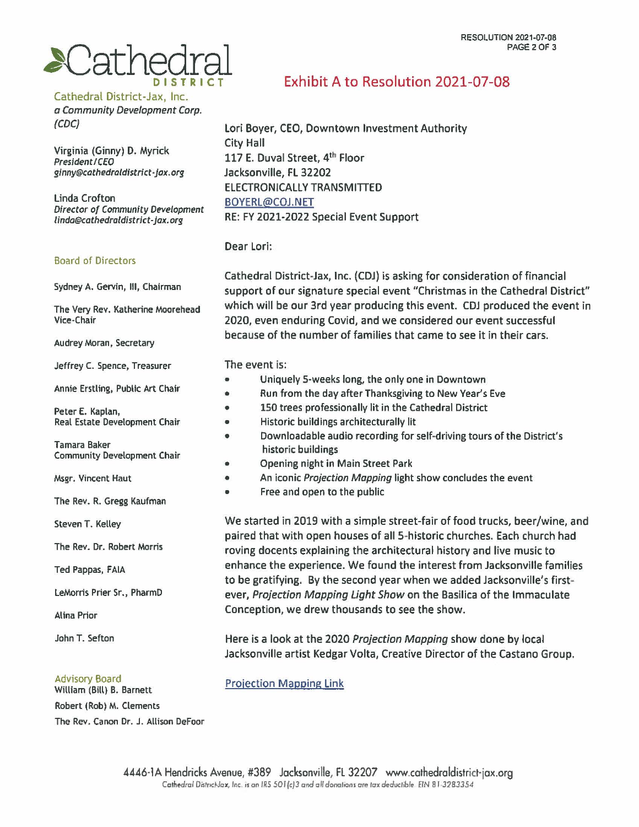# **PAGE2 OF 3**<br> **PAGE 2 OF 3**<br> **DISTRICT** Exhibit A to Resolution 2021-07-08

Cathedral District-Jax, Inc.

a Community Development Corp. (CDC)

Virginia (Ginny) D. Myrick President I CEO ginny@cathedraldistrict•Jax.org

Linda Crofton Director of Community Development linda@cathedraldistrict-jax.org

#### Board of Directors

Sydney A. Gervin, Ill, Chairman

The Very Rev. Katherine Moorehead Vice-Chair

Audrey Moran, Secretary

Jeffrey C. Spence, Treasurer

Annie Erstling, Public Art Chair

Peter E. Kaplan, Real Estate Development Chair

Tamara Baker Community Development Chair

Msgr. Vincent Haut

The Rev. R. Gregg Kaufman

Steven T. Kelley

The Rev. Dr. Robert Morris

Ted Pappas, FAIA

LeMorris Prier Sr., PharmD

Alina Prior

John T. Sefton

#### Advisory Board

William **(Bill)** B. Barnett Robert (Rob) M. Clements The Rev. Canon Dr. J. Allison Defoor

Lori Boyer, CEO, Downtown Investment Authority City Hall 117 E. Duval Street, 4<sup>th</sup> Floor Jacksonville, FL 32202 ELECTRONICALLY TRANSMITTED BOYERL@COJ.NET RE: FY 2021-2022 Special Event Support

Dear Lori:

Cathedral District-Jax, Inc. (CDJ) is asking for consideration of financial support of our signature special event "Christmas in the Cathedral District" which will be our 3rd year producing this event. CDJ produced the event in 2020, even enduring Covid, and we considered our event successful because of the number of families that came to see it in their cars.

The event is:

- Uniquely 5-weeks Jong, the only one in Downtown
- Run from the day after Thanksgiving to New Year's Eve
- 150 trees professionally lit in the Cathedral District
- Historic buildings architecturally lit
- Downloadable audio recording for self-driving tours of the District's historic buildings
- Opening night in Main Street Park
- An iconic Projection Mapping light show concludes the event
- Free and open to the public

We started in 2019 with a simple street-fair of food trucks, beer/wine, and paired that with open houses of all 5-historic churches. Each church had roving docents explaining the architectural history and live music to enhance the experience. We found the interest from Jacksonville families to be gratifying. By the second year when we added Jacksonville's firstever, Projection Mapping light Show on the Basilica of the Immaculate Conception, we drew thousands to see the show.

Here is a look at the 2020 Projection Mapping show done by local Jacksonville artist Kedgar Volta, Creative Director of the Castano Group.

Projection Mapping Link